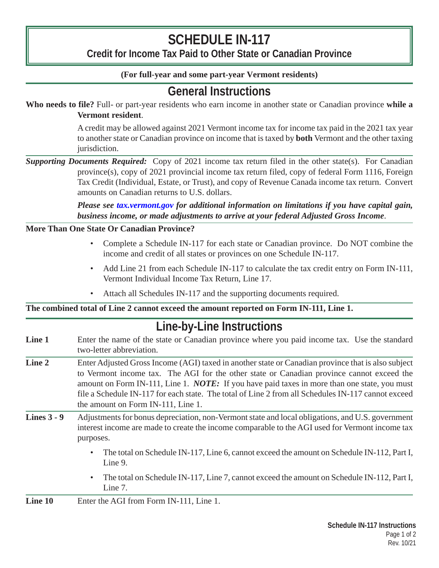# **SCHEDULE IN-117**

**Credit for Income Tax Paid to Other State or Canadian Province**

### **(For full-year and some part-year Vermont residents)**

### **General Instructions**

**Who needs to file?** Full- or part-year residents who earn income in another state or Canadian province **while a Vermont resident**.

> A credit may be allowed against 2021 Vermont income tax for income tax paid in the 2021 tax year to another state or Canadian province on income that is taxed by **both** Vermont and the other taxing jurisdiction.

*Supporting Documents Required:* Copy of 2021 income tax return filed in the other state(s). For Canadian province(s), copy of 2021 provincial income tax return filed, copy of federal Form 1116, Foreign Tax Credit (Individual, Estate, or Trust), and copy of Revenue Canada income tax return. Convert amounts on Canadian returns to U.S. dollars.

> *Please see [tax.vermont.gov](http://tax.vermont.gov) for additional information on limitations if you have capital gain, business income, or made adjustments to arrive at your federal Adjusted Gross Income*.

#### **More Than One State Or Canadian Province?**

- Complete a Schedule IN-117 for each state or Canadian province. Do NOT combine the income and credit of all states or provinces on one Schedule IN-117.
- Add Line 21 from each Schedule IN-117 to calculate the tax credit entry on Form IN-111, Vermont Individual Income Tax Return, Line 17.
- Attach all Schedules IN-117 and the supporting documents required.

#### **The combined total of Line 2 cannot exceed the amount reported on Form IN-111, Line 1.**

## **Line-by-Line Instructions**

- **Line 1** Enter the name of the state or Canadian province where you paid income tax. Use the standard two-letter abbreviation.
- **Line 2** Enter Adjusted Gross Income (AGI) taxed in another state or Canadian province that is also subject to Vermont income tax. The AGI for the other state or Canadian province cannot exceed the amount on Form IN-111, Line 1. *NOTE:* If you have paid taxes in more than one state, you must file a Schedule IN-117 for each state. The total of Line 2 from all Schedules IN-117 cannot exceed the amount on Form IN-111, Line 1.
- **Lines 3 9** Adjustments for bonus depreciation, non-Vermont state and local obligations, and U.S. government interest income are made to create the income comparable to the AGI used for Vermont income tax purposes.
	- The total on Schedule IN-117, Line 6, cannot exceed the amount on Schedule IN-112, Part I, Line 9.
	- The total on Schedule IN-117, Line 7, cannot exceed the amount on Schedule IN-112, Part I, Line 7.

**Line 10** Enter the AGI from Form IN-111, Line 1.